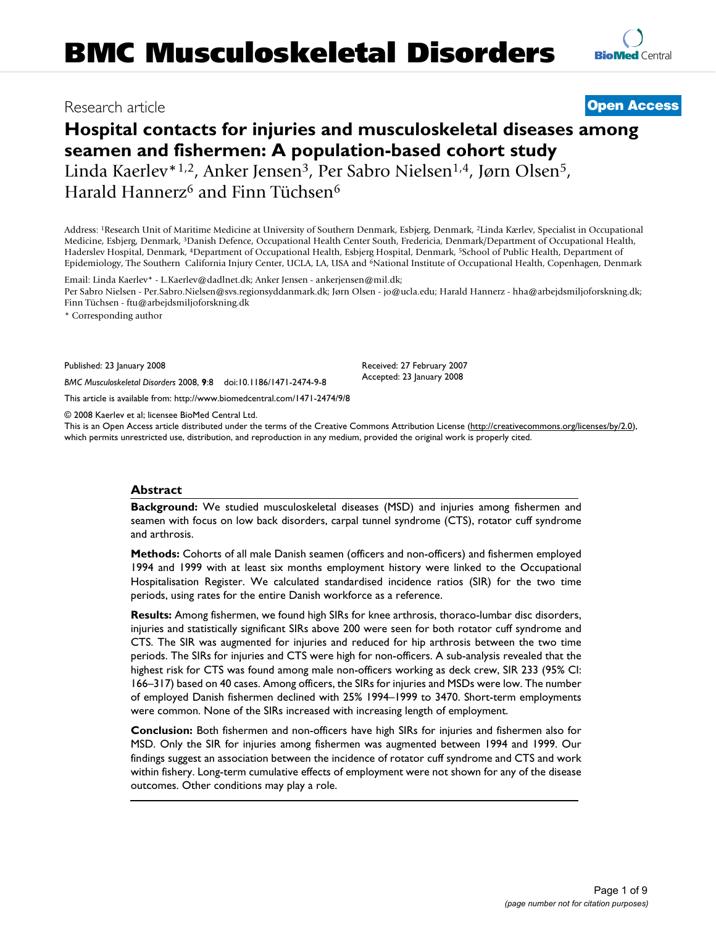## Research article **[Open Access](http://www.biomedcentral.com/info/about/charter/)**

# **Hospital contacts for injuries and musculoskeletal diseases among seamen and fishermen: A population-based cohort study**

Linda Kaerlev<sup>\* 1,2</sup>, Anker Jensen<sup>3</sup>, Per Sabro Nielsen<sup>1,4</sup>, Jørn Olsen<sup>5</sup>, Harald Hannerz<sup>6</sup> and Finn Tüchsen<sup>6</sup>

Address: 1Research Unit of Maritime Medicine at University of Southern Denmark, Esbjerg, Denmark, 2Linda Kærlev, Specialist in Occupational Medicine, Esbjerg, Denmark, 3Danish Defence, Occupational Health Center South, Fredericia, Denmark/Department of Occupational Health, Haderslev Hospital, Denmark, 4Department of Occupational Health, Esbjerg Hospital, Denmark, 5School of Public Health, Department of Epidemiology, The Southern California Injury Center, UCLA, LA, USA and 6National Institute of Occupational Health, Copenhagen, Denmark

Email: Linda Kaerlev\* - L.Kaerlev@dadlnet.dk; Anker Jensen - ankerjensen@mil.dk; Per Sabro Nielsen - Per.Sabro.Nielsen@svs.regionsyddanmark.dk; Jørn Olsen - jo@ucla.edu; Harald Hannerz - hha@arbejdsmiljoforskning.dk; Finn Tüchsen - ftu@arbejdsmiljoforskning.dk

\* Corresponding author

Published: 23 January 2008

*BMC Musculoskeletal Disorders* 2008, **9**:8 doi:10.1186/1471-2474-9-8

[This article is available from: http://www.biomedcentral.com/1471-2474/9/8](http://www.biomedcentral.com/1471-2474/9/8)

© 2008 Kaerlev et al; licensee BioMed Central Ltd.

This is an Open Access article distributed under the terms of the Creative Commons Attribution License [\(http://creativecommons.org/licenses/by/2.0\)](http://creativecommons.org/licenses/by/2.0), which permits unrestricted use, distribution, and reproduction in any medium, provided the original work is properly cited.

### **Abstract**

**Background:** We studied musculoskeletal diseases (MSD) and injuries among fishermen and seamen with focus on low back disorders, carpal tunnel syndrome (CTS), rotator cuff syndrome and arthrosis.

**Methods:** Cohorts of all male Danish seamen (officers and non-officers) and fishermen employed 1994 and 1999 with at least six months employment history were linked to the Occupational Hospitalisation Register. We calculated standardised incidence ratios (SIR) for the two time periods, using rates for the entire Danish workforce as a reference.

**Results:** Among fishermen, we found high SIRs for knee arthrosis, thoraco-lumbar disc disorders, injuries and statistically significant SIRs above 200 were seen for both rotator cuff syndrome and CTS. The SIR was augmented for injuries and reduced for hip arthrosis between the two time periods. The SIRs for injuries and CTS were high for non-officers. A sub-analysis revealed that the highest risk for CTS was found among male non-officers working as deck crew, SIR 233 (95% CI: 166–317) based on 40 cases. Among officers, the SIRs for injuries and MSDs were low. The number of employed Danish fishermen declined with 25% 1994–1999 to 3470. Short-term employments were common. None of the SIRs increased with increasing length of employment.

**Conclusion:** Both fishermen and non-officers have high SIRs for injuries and fishermen also for MSD. Only the SIR for injuries among fishermen was augmented between 1994 and 1999. Our findings suggest an association between the incidence of rotator cuff syndrome and CTS and work within fishery. Long-term cumulative effects of employment were not shown for any of the disease outcomes. Other conditions may play a role.

Received: 27 February 2007 Accepted: 23 January 2008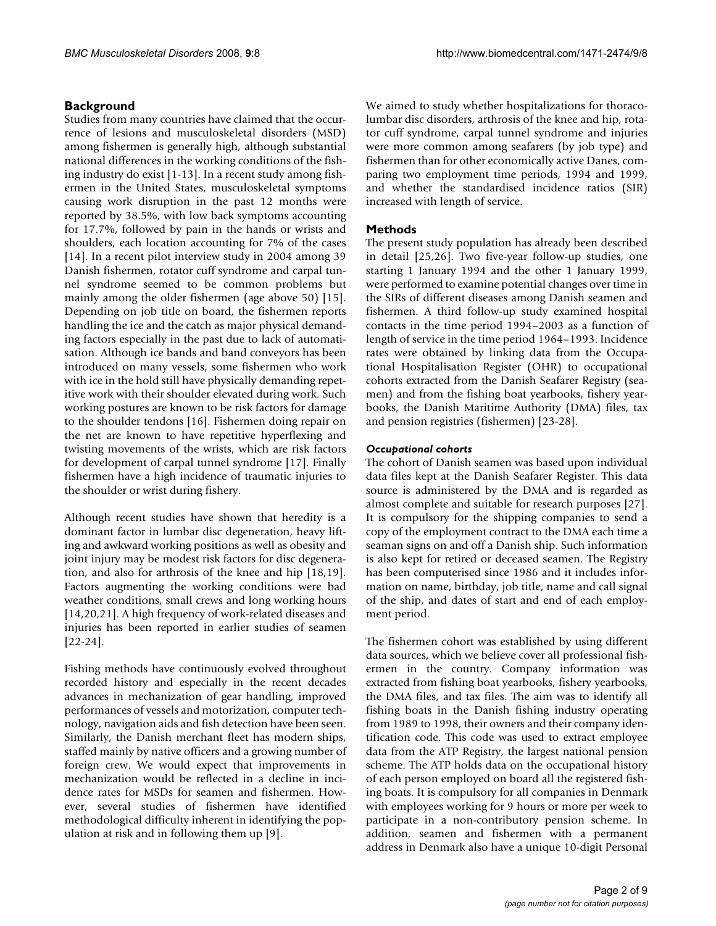## **Background**

Studies from many countries have claimed that the occurrence of lesions and musculoskeletal disorders (MSD) among fishermen is generally high, although substantial national differences in the working conditions of the fishing industry do exist [1-13]. In a recent study among fishermen in the United States, musculoskeletal symptoms causing work disruption in the past 12 months were reported by 38.5%, with low back symptoms accounting for 17.7%, followed by pain in the hands or wrists and shoulders, each location accounting for 7% of the cases [14]. In a recent pilot interview study in 2004 among 39 Danish fishermen, rotator cuff syndrome and carpal tunnel syndrome seemed to be common problems but mainly among the older fishermen (age above 50) [15]. Depending on job title on board, the fishermen reports handling the ice and the catch as major physical demanding factors especially in the past due to lack of automatisation. Although ice bands and band conveyors has been introduced on many vessels, some fishermen who work with ice in the hold still have physically demanding repetitive work with their shoulder elevated during work. Such working postures are known to be risk factors for damage to the shoulder tendons [16]. Fishermen doing repair on the net are known to have repetitive hyperflexing and twisting movements of the wrists, which are risk factors for development of carpal tunnel syndrome [17]. Finally fishermen have a high incidence of traumatic injuries to the shoulder or wrist during fishery.

Although recent studies have shown that heredity is a dominant factor in lumbar disc degeneration, heavy lifting and awkward working positions as well as obesity and joint injury may be modest risk factors for disc degeneration, and also for arthrosis of the knee and hip [18,19]. Factors augmenting the working conditions were bad weather conditions, small crews and long working hours [14,20,21]. A high frequency of work-related diseases and injuries has been reported in earlier studies of seamen [22-24].

Fishing methods have continuously evolved throughout recorded history and especially in the recent decades advances in mechanization of gear handling, improved performances of vessels and motorization, computer technology, navigation aids and fish detection have been seen. Similarly, the Danish merchant fleet has modern ships, staffed mainly by native officers and a growing number of foreign crew. We would expect that improvements in mechanization would be reflected in a decline in incidence rates for MSDs for seamen and fishermen. However, several studies of fishermen have identified methodological difficulty inherent in identifying the population at risk and in following them up [9].

We aimed to study whether hospitalizations for thoracolumbar disc disorders, arthrosis of the knee and hip, rotator cuff syndrome, carpal tunnel syndrome and injuries were more common among seafarers (by job type) and fishermen than for other economically active Danes, comparing two employment time periods, 1994 and 1999, and whether the standardised incidence ratios (SIR) increased with length of service.

## **Methods**

The present study population has already been described in detail [25,26]. Two five-year follow-up studies, one starting 1 January 1994 and the other 1 January 1999, were performed to examine potential changes over time in the SIRs of different diseases among Danish seamen and fishermen. A third follow-up study examined hospital contacts in the time period 1994–2003 as a function of length of service in the time period 1964–1993. Incidence rates were obtained by linking data from the Occupational Hospitalisation Register (OHR) to occupational cohorts extracted from the Danish Seafarer Registry (seamen) and from the fishing boat yearbooks, fishery yearbooks, the Danish Maritime Authority (DMA) files, tax and pension registries (fishermen) [23-28].

#### *Occupational cohorts*

The cohort of Danish seamen was based upon individual data files kept at the Danish Seafarer Register. This data source is administered by the DMA and is regarded as almost complete and suitable for research purposes [27]. It is compulsory for the shipping companies to send a copy of the employment contract to the DMA each time a seaman signs on and off a Danish ship. Such information is also kept for retired or deceased seamen. The Registry has been computerised since 1986 and it includes information on name, birthday, job title, name and call signal of the ship, and dates of start and end of each employment period.

The fishermen cohort was established by using different data sources, which we believe cover all professional fishermen in the country. Company information was extracted from fishing boat yearbooks, fishery yearbooks, the DMA files, and tax files. The aim was to identify all fishing boats in the Danish fishing industry operating from 1989 to 1998, their owners and their company identification code. This code was used to extract employee data from the ATP Registry, the largest national pension scheme. The ATP holds data on the occupational history of each person employed on board all the registered fishing boats. It is compulsory for all companies in Denmark with employees working for 9 hours or more per week to participate in a non-contributory pension scheme. In addition, seamen and fishermen with a permanent address in Denmark also have a unique 10-digit Personal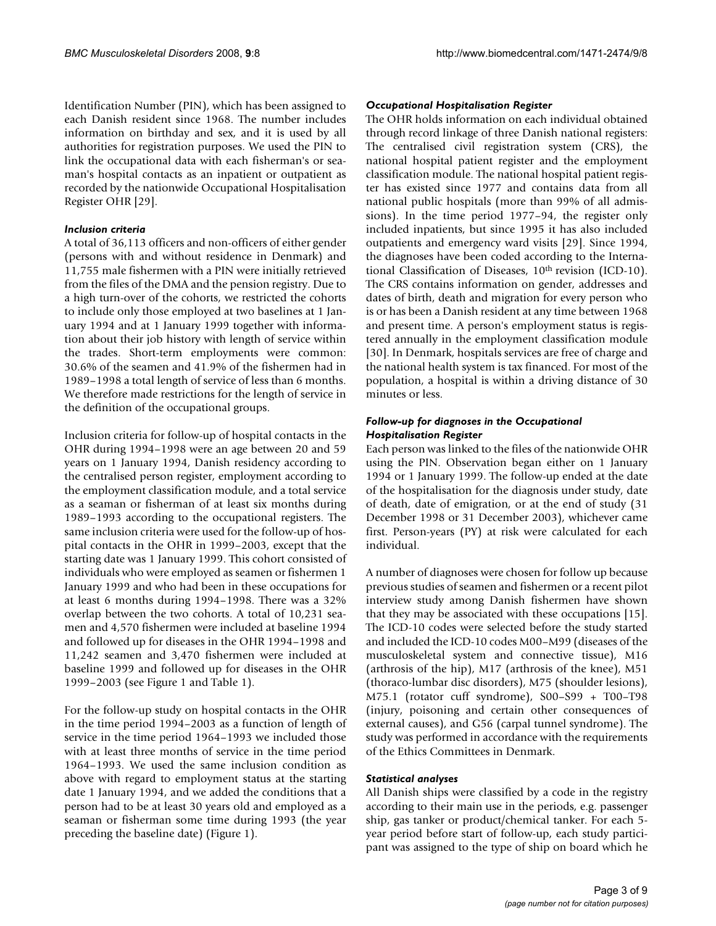Identification Number (PIN), which has been assigned to each Danish resident since 1968. The number includes information on birthday and sex, and it is used by all authorities for registration purposes. We used the PIN to link the occupational data with each fisherman's or seaman's hospital contacts as an inpatient or outpatient as recorded by the nationwide Occupational Hospitalisation Register OHR [29].

## *Inclusion criteria*

A total of 36,113 officers and non-officers of either gender (persons with and without residence in Denmark) and 11,755 male fishermen with a PIN were initially retrieved from the files of the DMA and the pension registry. Due to a high turn-over of the cohorts, we restricted the cohorts to include only those employed at two baselines at 1 January 1994 and at 1 January 1999 together with information about their job history with length of service within the trades. Short-term employments were common: 30.6% of the seamen and 41.9% of the fishermen had in 1989–1998 a total length of service of less than 6 months. We therefore made restrictions for the length of service in the definition of the occupational groups.

Inclusion criteria for follow-up of hospital contacts in the OHR during 1994–1998 were an age between 20 and 59 years on 1 January 1994, Danish residency according to the centralised person register, employment according to the employment classification module, and a total service as a seaman or fisherman of at least six months during 1989–1993 according to the occupational registers. The same inclusion criteria were used for the follow-up of hospital contacts in the OHR in 1999–2003, except that the starting date was 1 January 1999. This cohort consisted of individuals who were employed as seamen or fishermen 1 January 1999 and who had been in these occupations for at least 6 months during 1994–1998. There was a 32% overlap between the two cohorts. A total of 10,231 seamen and 4,570 fishermen were included at baseline 1994 and followed up for diseases in the OHR 1994–1998 and 11,242 seamen and 3,470 fishermen were included at baseline 1999 and followed up for diseases in the OHR 1999–2003 (see Figure 1 and Table 1).

For the follow-up study on hospital contacts in the OHR in the time period 1994–2003 as a function of length of service in the time period 1964–1993 we included those with at least three months of service in the time period 1964–1993. We used the same inclusion condition as above with regard to employment status at the starting date 1 January 1994, and we added the conditions that a person had to be at least 30 years old and employed as a seaman or fisherman some time during 1993 (the year preceding the baseline date) (Figure 1).

## *Occupational Hospitalisation Register*

The OHR holds information on each individual obtained through record linkage of three Danish national registers: The centralised civil registration system (CRS), the national hospital patient register and the employment classification module. The national hospital patient register has existed since 1977 and contains data from all national public hospitals (more than 99% of all admissions). In the time period 1977–94, the register only included inpatients, but since 1995 it has also included outpatients and emergency ward visits [29]. Since 1994, the diagnoses have been coded according to the International Classification of Diseases, 10th revision (ICD-10). The CRS contains information on gender, addresses and dates of birth, death and migration for every person who is or has been a Danish resident at any time between 1968 and present time. A person's employment status is registered annually in the employment classification module [30]. In Denmark, hospitals services are free of charge and the national health system is tax financed. For most of the population, a hospital is within a driving distance of 30 minutes or less.

## *Follow-up for diagnoses in the Occupational Hospitalisation Register*

Each person was linked to the files of the nationwide OHR using the PIN. Observation began either on 1 January 1994 or 1 January 1999. The follow-up ended at the date of the hospitalisation for the diagnosis under study, date of death, date of emigration, or at the end of study (31 December 1998 or 31 December 2003), whichever came first. Person-years (PY) at risk were calculated for each individual.

A number of diagnoses were chosen for follow up because previous studies of seamen and fishermen or a recent pilot interview study among Danish fishermen have shown that they may be associated with these occupations [15]. The ICD-10 codes were selected before the study started and included the ICD-10 codes M00–M99 (diseases of the musculoskeletal system and connective tissue), M16 (arthrosis of the hip), M17 (arthrosis of the knee), M51 (thoraco-lumbar disc disorders), M75 (shoulder lesions), M75.1 (rotator cuff syndrome), S00–S99 + T00–T98 (injury, poisoning and certain other consequences of external causes), and G56 (carpal tunnel syndrome). The study was performed in accordance with the requirements of the Ethics Committees in Denmark.

## *Statistical analyses*

All Danish ships were classified by a code in the registry according to their main use in the periods, e.g. passenger ship, gas tanker or product/chemical tanker. For each 5 year period before start of follow-up, each study participant was assigned to the type of ship on board which he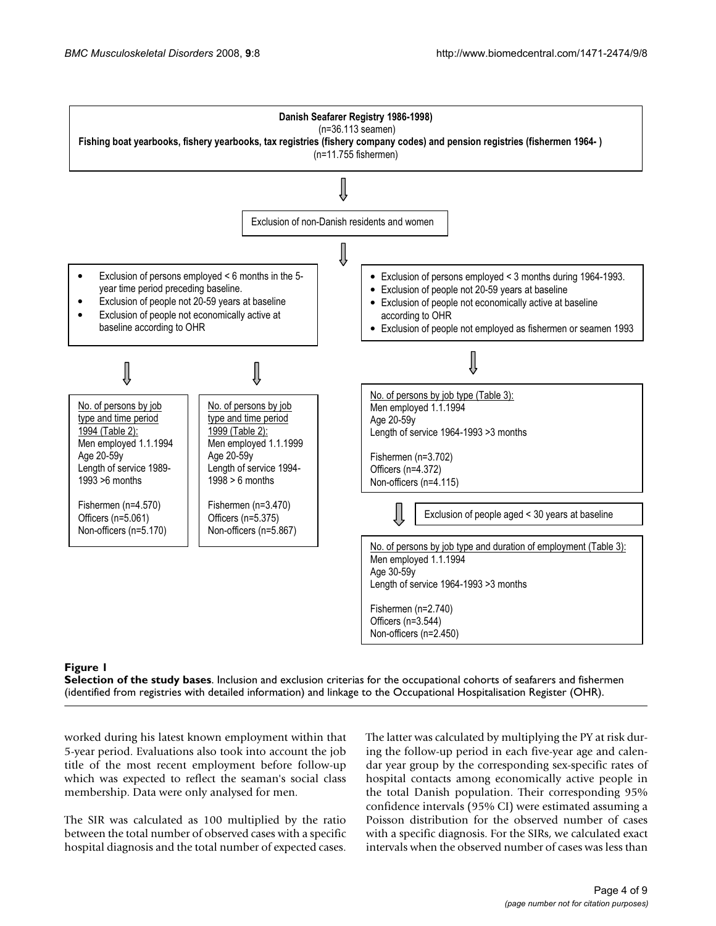

## **Figure 1**

**Selection of the study bases**. Inclusion and exclusion criterias for the occupational cohorts of seafarers and fishermen (identified from registries with detailed information) and linkage to the Occupational Hospitalisation Register (OHR).

worked during his latest known employment within that 5-year period. Evaluations also took into account the job title of the most recent employment before follow-up which was expected to reflect the seaman's social class membership. Data were only analysed for men.

The SIR was calculated as 100 multiplied by the ratio between the total number of observed cases with a specific hospital diagnosis and the total number of expected cases. The latter was calculated by multiplying the PY at risk during the follow-up period in each five-year age and calendar year group by the corresponding sex-specific rates of hospital contacts among economically active people in the total Danish population. Their corresponding 95% confidence intervals (95% CI) were estimated assuming a Poisson distribution for the observed number of cases with a specific diagnosis. For the SIRs, we calculated exact intervals when the observed number of cases was less than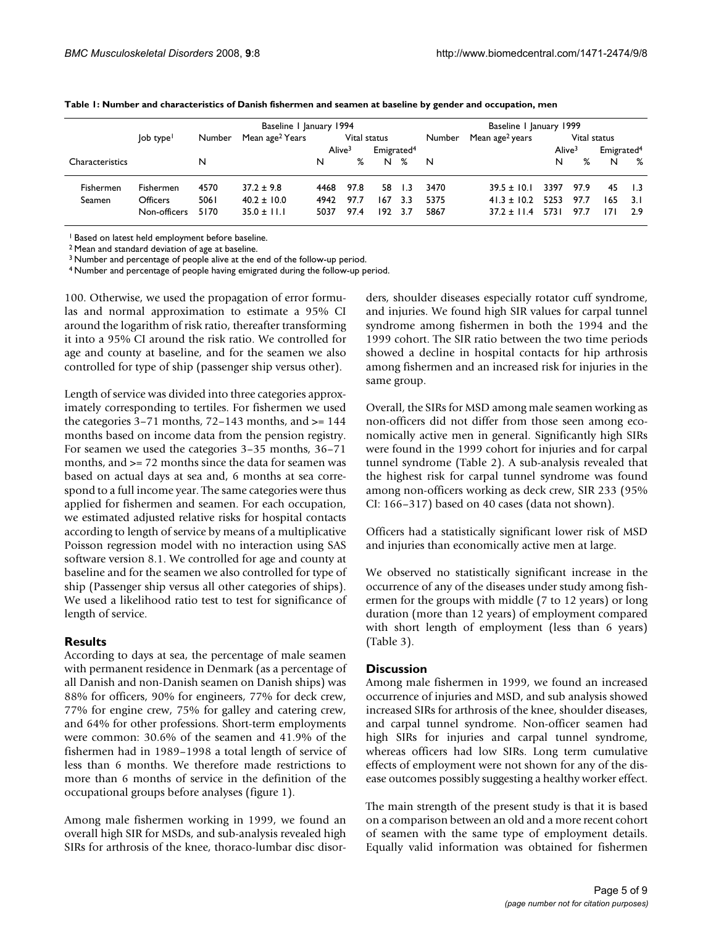|                 |                       | Baseline I January 1994 |                                    |                    |      |                        |      |        | Baseline I January 1999     |                    |      |                        |                  |  |  |  |
|-----------------|-----------------------|-------------------------|------------------------------------|--------------------|------|------------------------|------|--------|-----------------------------|--------------------|------|------------------------|------------------|--|--|--|
|                 | lob type <sup>1</sup> |                         | Number Mean age <sup>2</sup> Years | Vital status       |      |                        |      | Number | Mean age <sup>2</sup> years | Vital status       |      |                        |                  |  |  |  |
|                 |                       |                         |                                    | Alive <sup>3</sup> |      | Emigrated <sup>4</sup> |      |        |                             | Alive <sup>3</sup> |      | Emigrated <sup>4</sup> |                  |  |  |  |
| Characteristics |                       | N                       |                                    | N                  | ℅    | N.                     | %    | N      |                             | N                  | %    | N                      | %                |  |  |  |
| Fishermen       | <b>Fishermen</b>      | 4570                    | $37.2 \pm 9.8$                     | 4468               | 97.8 | 58                     | 1.3  | 3470   | $39.5 \pm 10.1$             | 3397               | 97.9 | 45                     | $\overline{1.3}$ |  |  |  |
| Seamen          | Officers              | 5061                    | $40.2 \pm 10.0$                    | 4942               | 97.7 | 167                    | 3.3  | 5375   | $41.3 \pm 10.2$             | 5253               | 97.7 | 165                    | - 3. I           |  |  |  |
|                 | Non-officers          | 5170                    | $35.0 \pm 11.1$                    | 5037               | 97.4 | 192                    | -3.7 | 5867   | $37.2 + 11.4$               | 5731               | 97.7 | 171                    | 2.9              |  |  |  |

**Table 1: Number and characteristics of Danish fishermen and seamen at baseline by gender and occupation, men**

<sup>1</sup> Based on latest held employment before baseline.

2 Mean and standard deviation of age at baseline.

<sup>3</sup> Number and percentage of people alive at the end of the follow-up period.

4 Number and percentage of people having emigrated during the follow-up period.

100. Otherwise, we used the propagation of error formulas and normal approximation to estimate a 95% CI around the logarithm of risk ratio, thereafter transforming it into a 95% CI around the risk ratio. We controlled for age and county at baseline, and for the seamen we also controlled for type of ship (passenger ship versus other).

Length of service was divided into three categories approximately corresponding to tertiles. For fishermen we used the categories  $3-71$  months,  $72-143$  months, and  $> = 144$ months based on income data from the pension registry. For seamen we used the categories 3–35 months, 36–71 months, and  $\ge$  72 months since the data for seamen was based on actual days at sea and, 6 months at sea correspond to a full income year. The same categories were thus applied for fishermen and seamen. For each occupation, we estimated adjusted relative risks for hospital contacts according to length of service by means of a multiplicative Poisson regression model with no interaction using SAS software version 8.1. We controlled for age and county at baseline and for the seamen we also controlled for type of ship (Passenger ship versus all other categories of ships). We used a likelihood ratio test to test for significance of length of service.

#### **Results**

According to days at sea, the percentage of male seamen with permanent residence in Denmark (as a percentage of all Danish and non-Danish seamen on Danish ships) was 88% for officers, 90% for engineers, 77% for deck crew, 77% for engine crew, 75% for galley and catering crew, and 64% for other professions. Short-term employments were common: 30.6% of the seamen and 41.9% of the fishermen had in 1989–1998 a total length of service of less than 6 months. We therefore made restrictions to more than 6 months of service in the definition of the occupational groups before analyses (figure 1).

Among male fishermen working in 1999, we found an overall high SIR for MSDs, and sub-analysis revealed high SIRs for arthrosis of the knee, thoraco-lumbar disc disorders, shoulder diseases especially rotator cuff syndrome, and injuries. We found high SIR values for carpal tunnel syndrome among fishermen in both the 1994 and the 1999 cohort. The SIR ratio between the two time periods showed a decline in hospital contacts for hip arthrosis among fishermen and an increased risk for injuries in the same group.

Overall, the SIRs for MSD among male seamen working as non-officers did not differ from those seen among economically active men in general. Significantly high SIRs were found in the 1999 cohort for injuries and for carpal tunnel syndrome (Table 2). A sub-analysis revealed that the highest risk for carpal tunnel syndrome was found among non-officers working as deck crew, SIR 233 (95% CI: 166–317) based on 40 cases (data not shown).

Officers had a statistically significant lower risk of MSD and injuries than economically active men at large.

We observed no statistically significant increase in the occurrence of any of the diseases under study among fishermen for the groups with middle (7 to 12 years) or long duration (more than 12 years) of employment compared with short length of employment (less than 6 years) (Table 3).

#### **Discussion**

Among male fishermen in 1999, we found an increased occurrence of injuries and MSD, and sub analysis showed increased SIRs for arthrosis of the knee, shoulder diseases, and carpal tunnel syndrome. Non-officer seamen had high SIRs for injuries and carpal tunnel syndrome, whereas officers had low SIRs. Long term cumulative effects of employment were not shown for any of the disease outcomes possibly suggesting a healthy worker effect.

The main strength of the present study is that it is based on a comparison between an old and a more recent cohort of seamen with the same type of employment details. Equally valid information was obtained for fishermen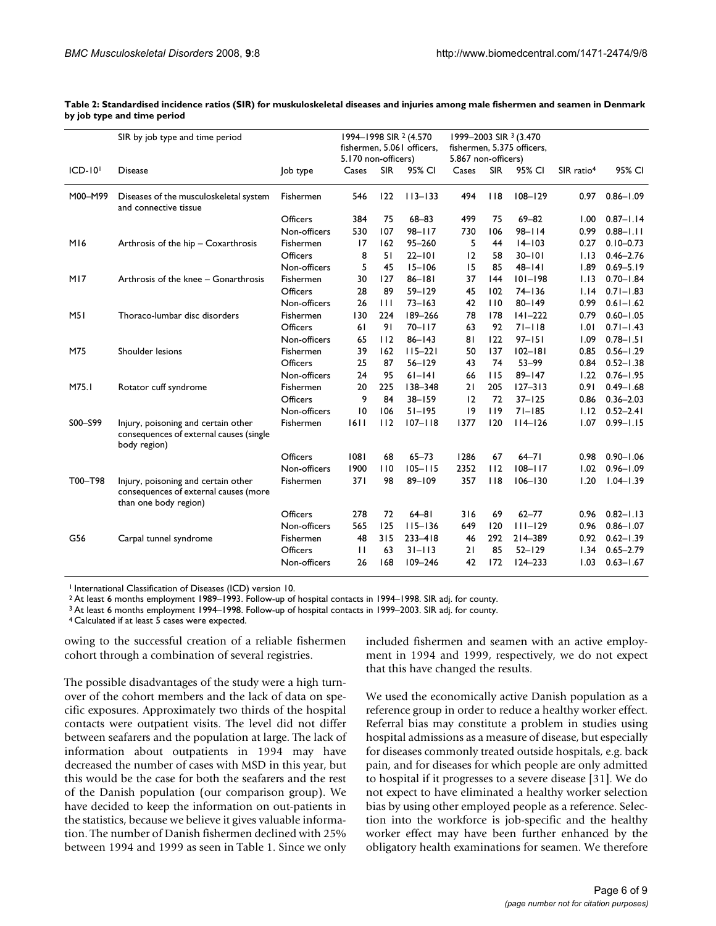|                 | SIR by job type and time period                                                                       |                 |              | 5.170 non-officers) | 1994-1998 SIR <sup>2</sup> (4.570)<br>fishermen, 5.061 officers, | 5.867 non-officers) |            | 1999-2003 SIR 3 (3.470)<br>fishermen, 5.375 officers, |                        |               |
|-----------------|-------------------------------------------------------------------------------------------------------|-----------------|--------------|---------------------|------------------------------------------------------------------|---------------------|------------|-------------------------------------------------------|------------------------|---------------|
| $ICD-101$       | <b>Disease</b>                                                                                        | Job type        | Cases        | <b>SIR</b>          | 95% CI                                                           | Cases               | <b>SIR</b> | 95% CI                                                | SIR ratio <sup>4</sup> | 95% CI        |
| M00-M99         | Diseases of the musculoskeletal system<br>and connective tissue                                       | Fishermen       | 546          | 122                 | $113 - 133$                                                      | 494                 | 118        | $108 - 129$                                           | 0.97                   | $0.86 - 1.09$ |
|                 |                                                                                                       | Officers        | 384          | 75                  | $68 - 83$                                                        | 499                 | 75         | $69 - 82$                                             | 1.00                   | $0.87 - 1.14$ |
|                 |                                                                                                       | Non-officers    | 530          | 107                 | $98 - 117$                                                       | 730                 | 106        | $98 - 114$                                            | 0.99                   | $0.88 - 1.11$ |
| M16             | Arthrosis of the hip - Coxarthrosis                                                                   | Fishermen       | 17           | 162                 | $95 - 260$                                                       | 5                   | 44         | $14 - 103$                                            | 0.27                   | $0.10 - 0.73$ |
|                 |                                                                                                       | Officers        | 8            | 51                  | $22 - 101$                                                       | 12                  | 58         | $30 - 101$                                            | 1.13                   | $0.46 - 2.76$ |
|                 |                                                                                                       | Non-officers    | 5            | 45                  | $15 - 106$                                                       | 15                  | 85         | $48 - 141$                                            | 1.89                   | $0.69 - 5.19$ |
| M <sub>17</sub> | Arthrosis of the knee - Gonarthrosis                                                                  | Fishermen       | 30           | 127                 | $86 - 181$                                                       | 37                  | 44         | $101 - 198$                                           | 1.13                   | $0.70 - 1.84$ |
|                 |                                                                                                       | Officers        | 28           | 89                  | $59 - 129$                                                       | 45                  | 102        | $74 - 136$                                            | 1.14                   | $0.71 - 1.83$ |
|                 |                                                                                                       | Non-officers    | 26           | $\mathbf{H}$        | $73 - 163$                                                       | 42                  | 110        | $80 - 149$                                            | 0.99                   | $0.61 - 1.62$ |
| M51             | Thoraco-lumbar disc disorders                                                                         | Fishermen       | 130          | 224                 | 189-266                                                          | 78                  | 178        | $ 4 -222$                                             | 0.79                   | $0.60 - 1.05$ |
|                 |                                                                                                       | <b>Officers</b> | 61           | 91                  | $70 - 117$                                                       | 63                  | 92         | $71 - 118$                                            | 1.01                   | $0.71 - 1.43$ |
|                 |                                                                                                       | Non-officers    | 65           | 112                 | $86 - 143$                                                       | 81                  | 122        | $97 - 151$                                            | 1.09                   | $0.78 - 1.51$ |
| M75             | Shoulder lesions                                                                                      | Fishermen       | 39           | 162                 | $115 - 221$                                                      | 50                  | 137        | $102 - 181$                                           | 0.85                   | $0.56 - 1.29$ |
|                 |                                                                                                       | Officers        | 25           | 87                  | $56 - 129$                                                       | 43                  | 74         | $53 - 99$                                             | 0.84                   | $0.52 - 1.38$ |
|                 |                                                                                                       | Non-officers    | 24           | 95                  | $61 - 141$                                                       | 66                  | 115        | $89 - 147$                                            | 1.22                   | $0.76 - 1.95$ |
| M75.1           | Rotator cuff syndrome                                                                                 | Fishermen       | 20           | 225                 | $138 - 348$                                                      | 21                  | 205        | $127 - 313$                                           | 0.91                   | $0.49 - 1.68$ |
|                 |                                                                                                       | Officers        | 9            | 84                  | $38 - 159$                                                       | 12                  | 72         | $37 - 125$                                            | 0.86                   | $0.36 - 2.03$ |
|                 |                                                                                                       | Non-officers    | 10           | 106                 | $51 - 195$                                                       | 9                   | 119        | $71 - 185$                                            | 1.12                   | $0.52 - 2.41$ |
| S00-S99         | Injury, poisoning and certain other<br>consequences of external causes (single<br>body region)        | Fishermen       | 1611         | 112                 | $107 - 118$                                                      | 1377                | 120        | $114 - 126$                                           | 1.07                   | $0.99 - 1.15$ |
|                 |                                                                                                       | <b>Officers</b> | 1081         | 68                  | $65 - 73$                                                        | 1286                | 67         | $64 - 71$                                             | 0.98                   | $0.90 - 1.06$ |
|                 |                                                                                                       | Non-officers    | 1900         | 110                 | $105 - 115$                                                      | 2352                | 112        | $108 - 117$                                           | 1.02                   | $0.96 - 1.09$ |
| T00-T98         | Injury, poisoning and certain other<br>consequences of external causes (more<br>than one body region) | Fishermen       | 371          | 98                  | $89 - 109$                                                       | 357                 | 118        | $106 - 130$                                           | 1.20                   | $1.04 - 1.39$ |
|                 |                                                                                                       | Officers        | 278          | 72                  | $64 - 81$                                                        | 316                 | 69         | $62 - 77$                                             | 0.96                   | $0.82 - 1.13$ |
|                 |                                                                                                       | Non-officers    | 565          | 125                 | $115 - 136$                                                      | 649                 | 120        | $111 - 129$                                           | 0.96                   | $0.86 - 1.07$ |
| G56             | Carpal tunnel syndrome                                                                                | Fishermen       | 48           | 315                 | $233 - 418$                                                      | 46                  | 292        | 214-389                                               | 0.92                   | $0.62 - 1.39$ |
|                 |                                                                                                       | Officers        | $\mathbf{1}$ | 63                  | $31 - 113$                                                       | 21                  | 85         | $52 - 129$                                            | 1.34                   | $0.65 - 2.79$ |
|                 |                                                                                                       | Non-officers    | 26           | 168                 | $109 - 246$                                                      | 42                  | 172        | $124 - 233$                                           | 1.03                   | $0.63 - 1.67$ |

**Table 2: Standardised incidence ratios (SIR) for muskuloskeletal diseases and injuries among male fishermen and seamen in Denmark by job type and time period**

<sup>1</sup> International Classification of Diseases (ICD) version 10.

2 At least 6 months employment 1989–1993. Follow-up of hospital contacts in 1994–1998. SIR adj. for county.

3 At least 6 months employment 1994–1998. Follow-up of hospital contacts in 1999–2003. SIR adj. for county.

4 Calculated if at least 5 cases were expected.

owing to the successful creation of a reliable fishermen cohort through a combination of several registries.

The possible disadvantages of the study were a high turnover of the cohort members and the lack of data on specific exposures. Approximately two thirds of the hospital contacts were outpatient visits. The level did not differ between seafarers and the population at large. The lack of information about outpatients in 1994 may have decreased the number of cases with MSD in this year, but this would be the case for both the seafarers and the rest of the Danish population (our comparison group). We have decided to keep the information on out-patients in the statistics, because we believe it gives valuable information. The number of Danish fishermen declined with 25% between 1994 and 1999 as seen in Table 1. Since we only included fishermen and seamen with an active employment in 1994 and 1999, respectively, we do not expect that this have changed the results.

We used the economically active Danish population as a reference group in order to reduce a healthy worker effect. Referral bias may constitute a problem in studies using hospital admissions as a measure of disease, but especially for diseases commonly treated outside hospitals, e.g. back pain, and for diseases for which people are only admitted to hospital if it progresses to a severe disease [31]. We do not expect to have eliminated a healthy worker selection bias by using other employed people as a reference. Selection into the workforce is job-specific and the healthy worker effect may have been further enhanced by the obligatory health examinations for seamen. We therefore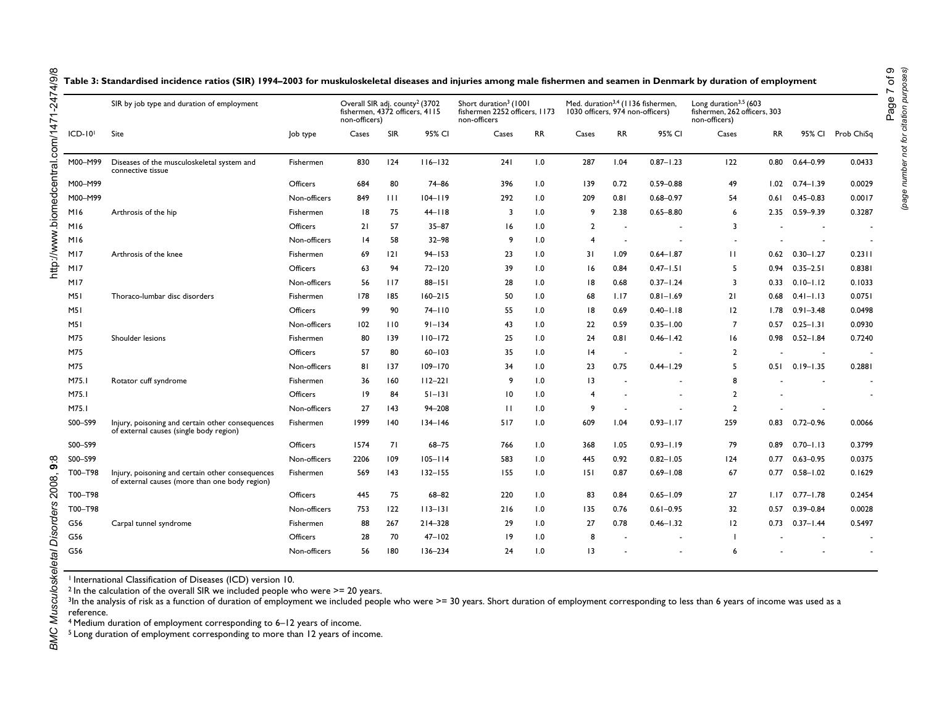|                 | SIR by job type and duration of employment                                                         |                 |       | Overall SIR adj. county <sup>2</sup> (3702<br>fishermen, 4372 officers, 4115<br>non-officers) |             |              | Short duration <sup>3</sup> (1001<br>fishermen 2252 officers, 1173<br>non-officers |                |                | Med. duration <sup>3,4</sup> (1136 fishermen,<br>1030 officers, 974 non-officers) | Long duration <sup>3,5</sup> (603)<br>fishermen, 262 officers, 303<br>non-officers) |           |               |                          |
|-----------------|----------------------------------------------------------------------------------------------------|-----------------|-------|-----------------------------------------------------------------------------------------------|-------------|--------------|------------------------------------------------------------------------------------|----------------|----------------|-----------------------------------------------------------------------------------|-------------------------------------------------------------------------------------|-----------|---------------|--------------------------|
| $ICD-101$       | Site                                                                                               | Job type        | Cases | <b>SIR</b>                                                                                    | 95% CI      | Cases        | <b>RR</b>                                                                          | Cases          | <b>RR</b>      | 95% CI                                                                            | Cases                                                                               | <b>RR</b> | 95% CI        | Prob ChiSq               |
| M00-M99         | Diseases of the musculoskeletal system and<br>connective tissue                                    | Fishermen       | 830   | 124                                                                                           | $116 - 132$ | 241          | 1.0                                                                                | 287            | 1.04           | $0.87 - 1.23$                                                                     | 122                                                                                 | 0.80      | $0.64 - 0.99$ | 0.0433                   |
| M00-M99         |                                                                                                    | Officers        | 684   | 80                                                                                            | $74 - 86$   | 396          | 1.0                                                                                | 139            | 0.72           | $0.59 - 0.88$                                                                     | 49                                                                                  | 1.02      | $0.74 - 1.39$ | 0.0029                   |
| M00-M99         |                                                                                                    | Non-officers    | 849   | 111                                                                                           | $104 - 119$ | 292          | 1.0                                                                                | 209            | 0.81           | $0.68 - 0.97$                                                                     | 54                                                                                  | 0.61      | $0.45 - 0.83$ | 0.0017                   |
| M <sub>16</sub> | Arthrosis of the hip                                                                               | Fishermen       | 18    | 75                                                                                            | $44 - 118$  | 3            | 1.0                                                                                | 9              | 2.38           | $0.65 - 8.80$                                                                     | 6                                                                                   | 2.35      | $0.59 - 9.39$ | 0.3287                   |
| M <sub>16</sub> |                                                                                                    | Officers        | 21    | 57                                                                                            | $35 - 87$   | 16           | 1.0                                                                                | $\overline{2}$ | $\sim$         |                                                                                   | $\overline{3}$                                                                      |           |               | $\overline{\phantom{a}}$ |
| M <sub>16</sub> |                                                                                                    | Non-officers    | 4     | 58                                                                                            | $32 - 98$   | 9            | 1.0                                                                                | $\overline{4}$ | $\overline{a}$ | $\sim$                                                                            | $\overline{\phantom{a}}$                                                            |           |               | $\overline{\phantom{a}}$ |
| M17             | Arthrosis of the knee                                                                              | Fishermen       | 69    | 2                                                                                             | $94 - 153$  | 23           | 1.0                                                                                | 31             | 1.09           | $0.64 - 1.87$                                                                     | $\mathbf{H}$                                                                        | 0.62      | $0.30 - 1.27$ | 0.2311                   |
| MI7             |                                                                                                    | Officers        | 63    | 94                                                                                            | $72 - 120$  | 39           | 1.0                                                                                | 16             | 0.84           | $0.47 - 1.51$                                                                     | 5                                                                                   | 0.94      | $0.35 - 2.51$ | 0.8381                   |
| M17             |                                                                                                    | Non-officers    | 56    | 117                                                                                           | $88 - 151$  | 28           | 1.0                                                                                | 18             | 0.68           | $0.37 - 1.24$                                                                     | $\overline{\mathbf{3}}$                                                             | 0.33      | $0.10 - 1.12$ | 0.1033                   |
| M51             | Thoraco-lumbar disc disorders                                                                      | Fishermen       | 178   | 185                                                                                           | $160 - 215$ | 50           | 1.0                                                                                | 68             | 1.17           | $0.81 - 1.69$                                                                     | 21                                                                                  | 0.68      | $0.41 - 1.13$ | 0.0751                   |
| M51             |                                                                                                    | <b>Officers</b> | 99    | 90                                                                                            | $74 - 110$  | 55           | 1.0                                                                                | 8              | 0.69           | $0.40 - 1.18$                                                                     | 12                                                                                  | 1.78      | $0.91 - 3.48$ | 0.0498                   |
| M51             |                                                                                                    | Non-officers    | 102   | 110                                                                                           | $91 - 134$  | 43           | 1.0                                                                                | 22             | 0.59           | $0.35 - 1.00$                                                                     | $\overline{7}$                                                                      | 0.57      | $0.25 - 1.31$ | 0.0930                   |
| M75             | Shoulder lesions                                                                                   | Fishermen       | 80    | 139                                                                                           | $110 - 172$ | 25           | 1.0                                                                                | 24             | 0.81           | $0.46 - 1.42$                                                                     | 16                                                                                  | 0.98      | $0.52 - 1.84$ | 0.7240                   |
| M75             |                                                                                                    | Officers        | 57    | 80                                                                                            | $60 - 103$  | 35           | 1.0                                                                                | 4              | $\sim$         |                                                                                   | $\overline{2}$                                                                      |           | $\sim$        |                          |
| M75             |                                                                                                    | Non-officers    | 81    | 137                                                                                           | $109 - 170$ | 34           | 1.0                                                                                | 23             | 0.75           | $0.44 - 1.29$                                                                     | 5                                                                                   | 0.51      | $0.19 - 1.35$ | 0.2881                   |
| M75.1           | Rotator cuff syndrome                                                                              | Fishermen       | 36    | 160                                                                                           | $112 - 221$ | 9            | 1.0                                                                                | 3              |                |                                                                                   | 8                                                                                   |           |               | $\sim$                   |
| M75.1           |                                                                                                    | Officers        | 9     | 84                                                                                            | $51 - 131$  | 10           | 1.0                                                                                | $\overline{4}$ |                | $\overline{\phantom{a}}$                                                          | $\overline{2}$                                                                      |           |               | $\overline{\phantom{a}}$ |
| M75.1           |                                                                                                    | Non-officers    | 27    | 43                                                                                            | $94 - 208$  | $\mathbf{H}$ | 1.0                                                                                | 9              |                |                                                                                   | $\overline{2}$                                                                      |           |               |                          |
| S00-S99         | lnjury, poisoning and certain other consequences<br>of external causes (single body region)        | Fishermen       | 1999  | 140                                                                                           | $134 - 146$ | 517          | 1.0                                                                                | 609            | 1.04           | $0.93 - 1.17$                                                                     | 259                                                                                 | 0.83      | $0.72 - 0.96$ | 0.0066                   |
| S00-S99         |                                                                                                    | <b>Officers</b> | 1574  | 71                                                                                            | $68 - 75$   | 766          | 1.0                                                                                | 368            | 1.05           | $0.93 - 1.19$                                                                     | 79                                                                                  | 0.89      | $0.70 - 1.13$ | 0.3799                   |
| S00-S99         |                                                                                                    | Non-officers    | 2206  | 109                                                                                           | $105 - 114$ | 583          | 1.0                                                                                | 445            | 0.92           | $0.82 - 1.05$                                                                     | 124                                                                                 | 0.77      | $0.63 - 0.95$ | 0.0375                   |
| T00-T98         | lnjury, poisoning and certain other consequences<br>of external causes (more than one body region) | Fishermen       | 569   | 43                                                                                            | $132 - 155$ | 155          | 1.0                                                                                | 151            | 0.87           | $0.69 - 1.08$                                                                     | 67                                                                                  | 0.77      | $0.58 - 1.02$ | 0.1629                   |
| T00-T98         |                                                                                                    | <b>Officers</b> | 445   | 75                                                                                            | $68 - 82$   | 220          | 1.0                                                                                | 83             | 0.84           | $0.65 - 1.09$                                                                     | 27                                                                                  | 1.17      | $0.77 - 1.78$ | 0.2454                   |
| T00-T98         |                                                                                                    | Non-officers    | 753   | 122                                                                                           | $113 - 131$ | 216          | 1.0                                                                                | 135            | 0.76           | $0.61 - 0.95$                                                                     | 32                                                                                  | 0.57      | $0.39 - 0.84$ | 0.0028                   |
| G56             | Carpal tunnel syndrome                                                                             | Fishermen       | 88    | 267                                                                                           | $214 - 328$ | 29           | 1.0                                                                                | 27             | 0.78           | $0.46 - 1.32$                                                                     | 12                                                                                  | 0.73      | $0.37 - 1.44$ | 0.5497                   |
| G56             |                                                                                                    | <b>Officers</b> | 28    | 70                                                                                            | $47 - 102$  | 9            | 1.0                                                                                | 8              |                |                                                                                   |                                                                                     |           |               |                          |
| G56             |                                                                                                    | Non-officers    | 56    | 180                                                                                           | $136 - 234$ | 24           | 1.0                                                                                | 3              |                |                                                                                   | 6                                                                                   |           |               |                          |

**Table 3: Standardised incidence ratios (SIR) 1994–2003 for muskuloskeletal diseases and injuries among male fishermen and seamen in Denmark by duration of employment**

<sup>1</sup> International Classification of Diseases (ICD) version 10.

2 In the calculation of the overall SIR we included people who were >= 20 years.

<sup>3</sup>In the analysis of risk as a function of duration of employment we included people who were >= 30 years. Short duration of employment corresponding to less than 6 years of income was used as a reference.

4 Medium duration of employment corresponding to 6–12 years of income.

<sup>5</sup> Long duration of employment corresponding to more than 12 years of income.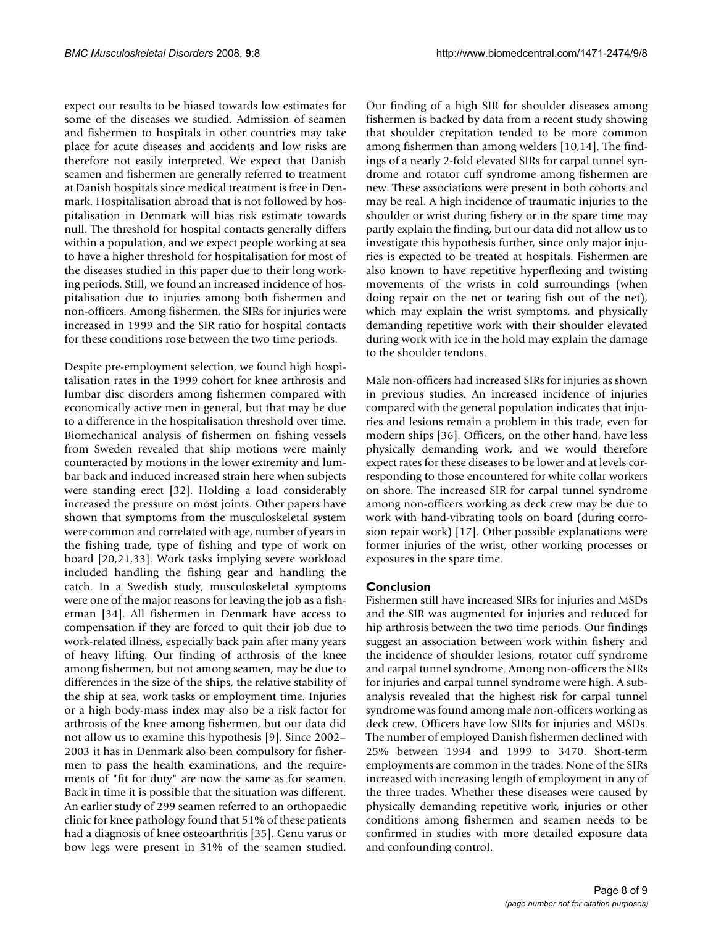expect our results to be biased towards low estimates for some of the diseases we studied. Admission of seamen and fishermen to hospitals in other countries may take place for acute diseases and accidents and low risks are therefore not easily interpreted. We expect that Danish seamen and fishermen are generally referred to treatment at Danish hospitals since medical treatment is free in Denmark. Hospitalisation abroad that is not followed by hospitalisation in Denmark will bias risk estimate towards null. The threshold for hospital contacts generally differs within a population, and we expect people working at sea to have a higher threshold for hospitalisation for most of the diseases studied in this paper due to their long working periods. Still, we found an increased incidence of hospitalisation due to injuries among both fishermen and non-officers. Among fishermen, the SIRs for injuries were increased in 1999 and the SIR ratio for hospital contacts for these conditions rose between the two time periods.

Despite pre-employment selection, we found high hospitalisation rates in the 1999 cohort for knee arthrosis and lumbar disc disorders among fishermen compared with economically active men in general, but that may be due to a difference in the hospitalisation threshold over time. Biomechanical analysis of fishermen on fishing vessels from Sweden revealed that ship motions were mainly counteracted by motions in the lower extremity and lumbar back and induced increased strain here when subjects were standing erect [32]. Holding a load considerably increased the pressure on most joints. Other papers have shown that symptoms from the musculoskeletal system were common and correlated with age, number of years in the fishing trade, type of fishing and type of work on board [20,21,33]. Work tasks implying severe workload included handling the fishing gear and handling the catch. In a Swedish study, musculoskeletal symptoms were one of the major reasons for leaving the job as a fisherman [34]. All fishermen in Denmark have access to compensation if they are forced to quit their job due to work-related illness, especially back pain after many years of heavy lifting. Our finding of arthrosis of the knee among fishermen, but not among seamen, may be due to differences in the size of the ships, the relative stability of the ship at sea, work tasks or employment time. Injuries or a high body-mass index may also be a risk factor for arthrosis of the knee among fishermen, but our data did not allow us to examine this hypothesis [9]. Since 2002– 2003 it has in Denmark also been compulsory for fishermen to pass the health examinations, and the requirements of "fit for duty" are now the same as for seamen. Back in time it is possible that the situation was different. An earlier study of 299 seamen referred to an orthopaedic clinic for knee pathology found that 51% of these patients had a diagnosis of knee osteoarthritis [35]. Genu varus or bow legs were present in 31% of the seamen studied.

Our finding of a high SIR for shoulder diseases among fishermen is backed by data from a recent study showing that shoulder crepitation tended to be more common among fishermen than among welders [10,14]. The findings of a nearly 2-fold elevated SIRs for carpal tunnel syndrome and rotator cuff syndrome among fishermen are new. These associations were present in both cohorts and may be real. A high incidence of traumatic injuries to the shoulder or wrist during fishery or in the spare time may partly explain the finding, but our data did not allow us to investigate this hypothesis further, since only major injuries is expected to be treated at hospitals. Fishermen are also known to have repetitive hyperflexing and twisting movements of the wrists in cold surroundings (when doing repair on the net or tearing fish out of the net), which may explain the wrist symptoms, and physically demanding repetitive work with their shoulder elevated during work with ice in the hold may explain the damage to the shoulder tendons.

Male non-officers had increased SIRs for injuries as shown in previous studies. An increased incidence of injuries compared with the general population indicates that injuries and lesions remain a problem in this trade, even for modern ships [36]. Officers, on the other hand, have less physically demanding work, and we would therefore expect rates for these diseases to be lower and at levels corresponding to those encountered for white collar workers on shore. The increased SIR for carpal tunnel syndrome among non-officers working as deck crew may be due to work with hand-vibrating tools on board (during corrosion repair work) [17]. Other possible explanations were former injuries of the wrist, other working processes or exposures in the spare time.

### **Conclusion**

Fishermen still have increased SIRs for injuries and MSDs and the SIR was augmented for injuries and reduced for hip arthrosis between the two time periods. Our findings suggest an association between work within fishery and the incidence of shoulder lesions, rotator cuff syndrome and carpal tunnel syndrome. Among non-officers the SIRs for injuries and carpal tunnel syndrome were high. A subanalysis revealed that the highest risk for carpal tunnel syndrome was found among male non-officers working as deck crew. Officers have low SIRs for injuries and MSDs. The number of employed Danish fishermen declined with 25% between 1994 and 1999 to 3470. Short-term employments are common in the trades. None of the SIRs increased with increasing length of employment in any of the three trades. Whether these diseases were caused by physically demanding repetitive work, injuries or other conditions among fishermen and seamen needs to be confirmed in studies with more detailed exposure data and confounding control.